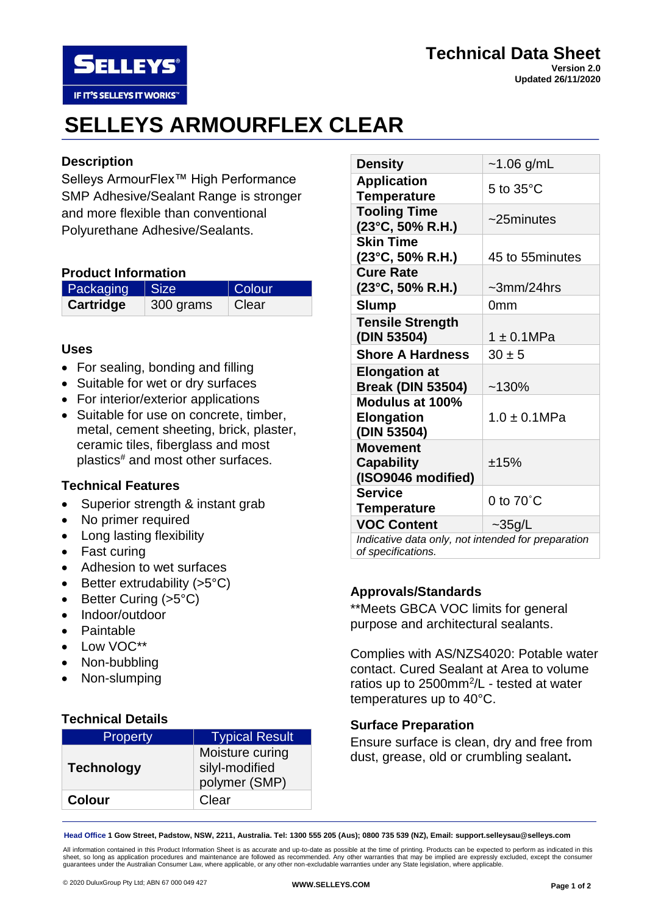

#### **Technical Data Sheet Version 2.0 Updated 26/11/2020**

# **SELLEYS ARMOURFLEX CLEAR**

## **Description**

Selleys ArmourFlex™ High Performance SMP Adhesive/Sealant Range is stronger and more flexible than conventional Polyurethane Adhesive/Sealants.

## **Product Information**

| <b>Packaging Size</b> |           | Colour |
|-----------------------|-----------|--------|
| Cartridge             | 300 grams | Clear  |

## **Uses**

- For sealing, bonding and filling
- Suitable for wet or dry surfaces
- For interior/exterior applications
- Suitable for use on concrete, timber, metal, cement sheeting, brick, plaster, ceramic tiles, fiberglass and most plastics# and most other surfaces.

## **Technical Features**

- Superior strength & instant grab
- No primer required
- Long lasting flexibility
- Fast curing
- Adhesion to wet surfaces
- Better extrudability  $(>5°C)$
- Better Curing (>5°C)
- Indoor/outdoor
- **Paintable**
- Low VOC\*\*
- Non-bubbling
- Non-slumping

## **Technical Details**

| <b>Property</b>   | <b>Typical Result</b>                              |
|-------------------|----------------------------------------------------|
| <b>Technology</b> | Moisture curing<br>silyl-modified<br>polymer (SMP) |
| <b>Colour</b>     | Clear                                              |

| <b>Density</b>                                             | $~1.06$ g/mL          |  |
|------------------------------------------------------------|-----------------------|--|
| <b>Application</b><br><b>Temperature</b>                   | $5$ to $35^{\circ}$ C |  |
| <b>Tooling Time</b><br>$(23^{\circ}C, 50\% R.H.)$          | $~25$ minutes         |  |
| <b>Skin Time</b><br>(23°C, 50% R.H.)                       | 45 to 55 minutes      |  |
| <b>Cure Rate</b><br>$(23^{\circ}C, 50\% R.H.)$             | $\sim$ 3mm/24hrs      |  |
| <b>Slump</b>                                               | 0 <sub>mm</sub>       |  |
| <b>Tensile Strength</b><br>(DIN 53504)                     | $1 \pm 0.1$ MPa       |  |
| <b>Shore A Hardness</b>                                    | $30 \pm 5$            |  |
| <b>Elongation at</b><br><b>Break (DIN 53504)</b>           | $~130\%$              |  |
| Modulus at 100%<br><b>Elongation</b><br>(DIN 53504)        | $1.0 \pm 0.1$ MPa     |  |
| <b>Movement</b><br><b>Capability</b><br>(ISO9046 modified) | ±15%                  |  |
| <b>Service</b><br><b>Temperature</b>                       | 0 to $70^{\circ}$ C   |  |
| <b>VOC Content</b>                                         | $\sim$ 35g/L          |  |
| Indicative data only, not intended for preparation         |                       |  |

*Indicative data only, not intended for preparation of specifications.*

## **Approvals/Standards**

\*\*Meets GBCA VOC limits for general purpose and architectural sealants.

Complies with AS/NZS4020: Potable water contact. Cured Sealant at Area to volume ratios up to  $2500$ mm<sup>2</sup>/L - tested at water temperatures up to 40°C.

## **Surface Preparation**

Ensure surface is clean, dry and free from dust, grease, old or crumbling sealant**.**

**Head Office 1 Gow Street, Padstow, NSW, 2211, Australia. Tel: 1300 555 205 (Aus); 0800 735 539 (NZ), Email: support.selleysau@selleys.com**

All information contained in this Product Information Sheet is as accurate and up-to-date as possible at the time of printing. Products can be expected to perform as indicated in this sheet, so long as application procedures and maintenance are followed as recommended. Any other warranties that may be implied are expressly excluded, except the consumer<br>guarantees under the Australian Consumer Law, where